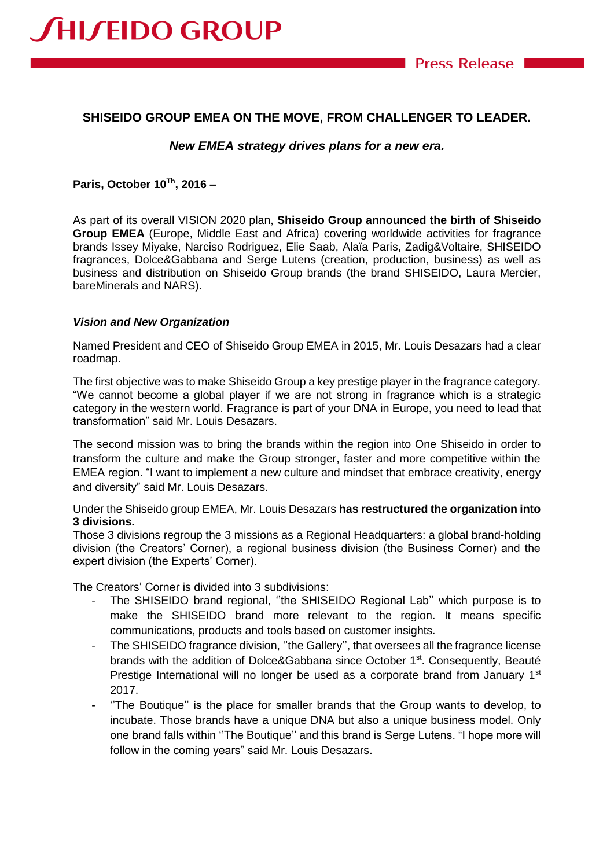# **SHISEIDO GROUP EMEA ON THE MOVE, FROM CHALLENGER TO LEADER.**

### *New EMEA strategy drives plans for a new era.*

#### **Paris, October 10Th, 2016 –**

**JHIJEIDO GROUP** 

As part of its overall VISION 2020 plan, **Shiseido Group announced the birth of Shiseido Group EMEA** (Europe, Middle East and Africa) covering worldwide activities for fragrance brands Issey Miyake, Narciso Rodriguez, Elie Saab, Alaïa Paris, Zadig&Voltaire, SHISEIDO fragrances, Dolce&Gabbana and Serge Lutens (creation, production, business) as well as business and distribution on Shiseido Group brands (the brand SHISEIDO, Laura Mercier, bareMinerals and NARS).

#### *Vision and New Organization*

Named President and CEO of Shiseido Group EMEA in 2015, Mr. Louis Desazars had a clear roadmap.

The first objective was to make Shiseido Group a key prestige player in the fragrance category. "We cannot become a global player if we are not strong in fragrance which is a strategic category in the western world. Fragrance is part of your DNA in Europe, you need to lead that transformation" said Mr. Louis Desazars.

The second mission was to bring the brands within the region into One Shiseido in order to transform the culture and make the Group stronger, faster and more competitive within the EMEA region. "I want to implement a new culture and mindset that embrace creativity, energy and diversity" said Mr. Louis Desazars.

### Under the Shiseido group EMEA, Mr. Louis Desazars **has restructured the organization into 3 divisions.**

Those 3 divisions regroup the 3 missions as a Regional Headquarters: a global brand-holding division (the Creators' Corner), a regional business division (the Business Corner) and the expert division (the Experts' Corner).

The Creators' Corner is divided into 3 subdivisions:

- The SHISEIDO brand regional, "the SHISEIDO Regional Lab" which purpose is to make the SHISEIDO brand more relevant to the region. It means specific communications, products and tools based on customer insights.
- The SHISEIDO fragrance division, "the Gallery", that oversees all the fragrance license brands with the addition of Dolce&Gabbana since October 1<sup>st</sup>. Consequently, Beauté Prestige International will no longer be used as a corporate brand from January 1<sup>st</sup> 2017.
- ''The Boutique'' is the place for smaller brands that the Group wants to develop, to incubate. Those brands have a unique DNA but also a unique business model. Only one brand falls within ''The Boutique'' and this brand is Serge Lutens. "I hope more will follow in the coming years" said Mr. Louis Desazars.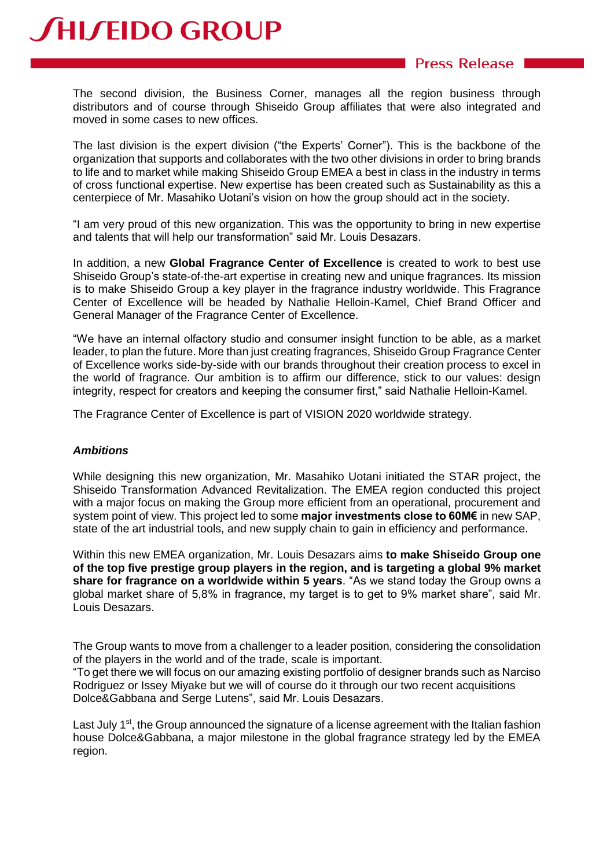# **SHISEIDO GROUP**

# **Press Release**

The second division, the Business Corner, manages all the region business through distributors and of course through Shiseido Group affiliates that were also integrated and moved in some cases to new offices.

The last division is the expert division ("the Experts' Corner"). This is the backbone of the organization that supports and collaborates with the two other divisions in order to bring brands to life and to market while making Shiseido Group EMEA a best in class in the industry in terms of cross functional expertise. New expertise has been created such as Sustainability as this a centerpiece of Mr. Masahiko Uotani's vision on how the group should act in the society.

"I am very proud of this new organization. This was the opportunity to bring in new expertise and talents that will help our transformation" said Mr. Louis Desazars.

In addition, a new **Global Fragrance Center of Excellence** is created to work to best use Shiseido Group's state-of-the-art expertise in creating new and unique fragrances. Its mission is to make Shiseido Group a key player in the fragrance industry worldwide. This Fragrance Center of Excellence will be headed by Nathalie Helloin-Kamel, Chief Brand Officer and General Manager of the Fragrance Center of Excellence.

"We have an internal olfactory studio and consumer insight function to be able, as a market leader, to plan the future. More than just creating fragrances, Shiseido Group Fragrance Center of Excellence works side-by-side with our brands throughout their creation process to excel in the world of fragrance. Our ambition is to affirm our difference, stick to our values: design integrity, respect for creators and keeping the consumer first," said Nathalie Helloin-Kamel.

The Fragrance Center of Excellence is part of VISION 2020 worldwide strategy.

## *Ambitions*

While designing this new organization, Mr. Masahiko Uotani initiated the STAR project, the Shiseido Transformation Advanced Revitalization. The EMEA region conducted this project with a major focus on making the Group more efficient from an operational, procurement and system point of view. This project led to some **major investments close to 60M€** in new SAP, state of the art industrial tools, and new supply chain to gain in efficiency and performance.

Within this new EMEA organization, Mr. Louis Desazars aims **to make Shiseido Group one of the top five prestige group players in the region, and is targeting a global 9% market share for fragrance on a worldwide within 5 years**. "As we stand today the Group owns a global market share of 5,8% in fragrance, my target is to get to 9% market share", said Mr. Louis Desazars.

The Group wants to move from a challenger to a leader position, considering the consolidation of the players in the world and of the trade, scale is important.

"To get there we will focus on our amazing existing portfolio of designer brands such as Narciso Rodriguez or Issey Miyake but we will of course do it through our two recent acquisitions Dolce&Gabbana and Serge Lutens", said Mr. Louis Desazars.

Last July 1<sup>st</sup>, the Group announced the signature of a license agreement with the Italian fashion house Dolce&Gabbana, a major milestone in the global fragrance strategy led by the EMEA region.